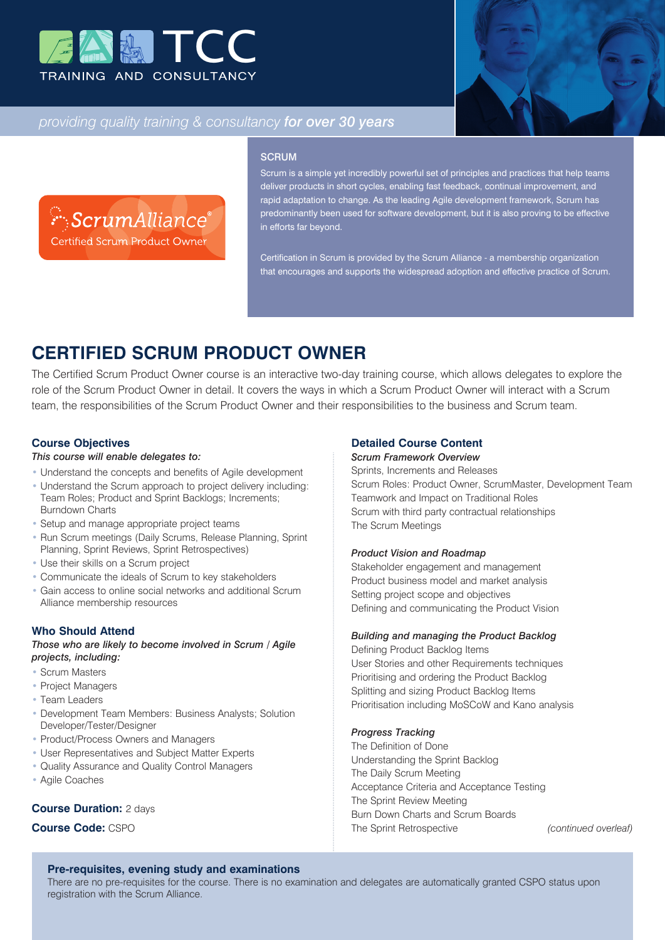



## *providing quality training & consultancy for over 30 years*

ScrumAlliance® Certified Scrum Product Owner

#### **SCRUM**

Scrum is a simple yet incredibly powerful set of principles and practices that help teams deliver products in short cycles, enabling fast feedback, continual improvement, and rapid adaptation to change. As the leading Agile development framework, Scrum has predominantly been used for software development, but it is also proving to be effective in efforts far beyond.

Certification in Scrum is provided by the Scrum Alliance - a membership organization that encourages and supports the widespread adoption and effective practice of Scrum.

# **CERTIFIED SCRUM PRODUCT OWNER**

The Certified Scrum Product Owner course is an interactive two-day training course, which allows delegates to explore the role of the Scrum Product Owner in detail. It covers the ways in which a Scrum Product Owner will interact with a Scrum team, the responsibilities of the Scrum Product Owner and their responsibilities to the business and Scrum team.

## **Course Objectives**

## *This course will enable delegates to:*

- Understand the concepts and benefits of Agile development
- Understand the Scrum approach to project delivery including: Team Roles; Product and Sprint Backlogs; Increments; Burndown Charts
- Setup and manage appropriate project teams
- Run Scrum meetings (Daily Scrums, Release Planning, Sprint Planning, Sprint Reviews, Sprint Retrospectives)
- Use their skills on a Scrum project
- Communicate the ideals of Scrum to key stakeholders
- Gain access to online social networks and additional Scrum Alliance membership resources

## **Who Should Attend**

*Those who are likely to become involved in Scrum / Agile projects, including:*

- Scrum Masters
- Project Managers
- Team Leaders
- Development Team Members: Business Analysts; Solution Developer/Tester/Designer
- Product/Process Owners and Managers
- User Representatives and Subject Matter Experts
- Quality Assurance and Quality Control Managers
- Agile Coaches

### **Course Duration:** 2 days

## **Course Code:** CSPO

## **Detailed Course Content**

## *Scrum Framework Overview*

Sprints, Increments and Releases Scrum Roles: Product Owner, ScrumMaster, Development Team Teamwork and Impact on Traditional Roles Scrum with third party contractual relationships The Scrum Meetings

#### *Product Vision and Roadmap*

Stakeholder engagement and management Product business model and market analysis Setting project scope and objectives Defining and communicating the Product Vision

#### *Building and managing the Product Backlog*

Defining Product Backlog Items User Stories and other Requirements techniques Prioritising and ordering the Product Backlog Splitting and sizing Product Backlog Items Prioritisation including MoSCoW and Kano analysis

#### *Progress Tracking*

The Definition of Done Understanding the Sprint Backlog The Daily Scrum Meeting Acceptance Criteria and Acceptance Testing The Sprint Review Meeting Burn Down Charts and Scrum Boards The Sprint Retrospective *(continued overleaf)*

## **Pre-requisites, evening study and examinations**

There are no pre-requisites for the course. There is no examination and delegates are automatically granted CSPO status upon registration with the Scrum Alliance.